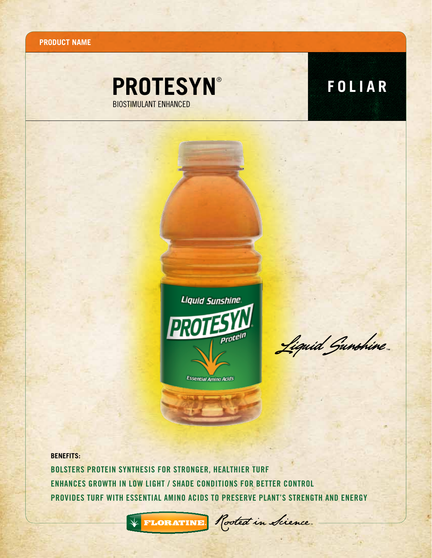**Product name**

## **PROTESYN**<sup>®</sup> **FOLIAR** BIOSTIMULANT ENHANCED



Liquid Gunshine

**BENEFITS:** Bolsters protein synthesis for stronger, healthier turf Enhances growth in low light / shade conditions for better control Provides turf with essential amino acids to preserve plant's strength and energy



FLORATINE Rooted in Science